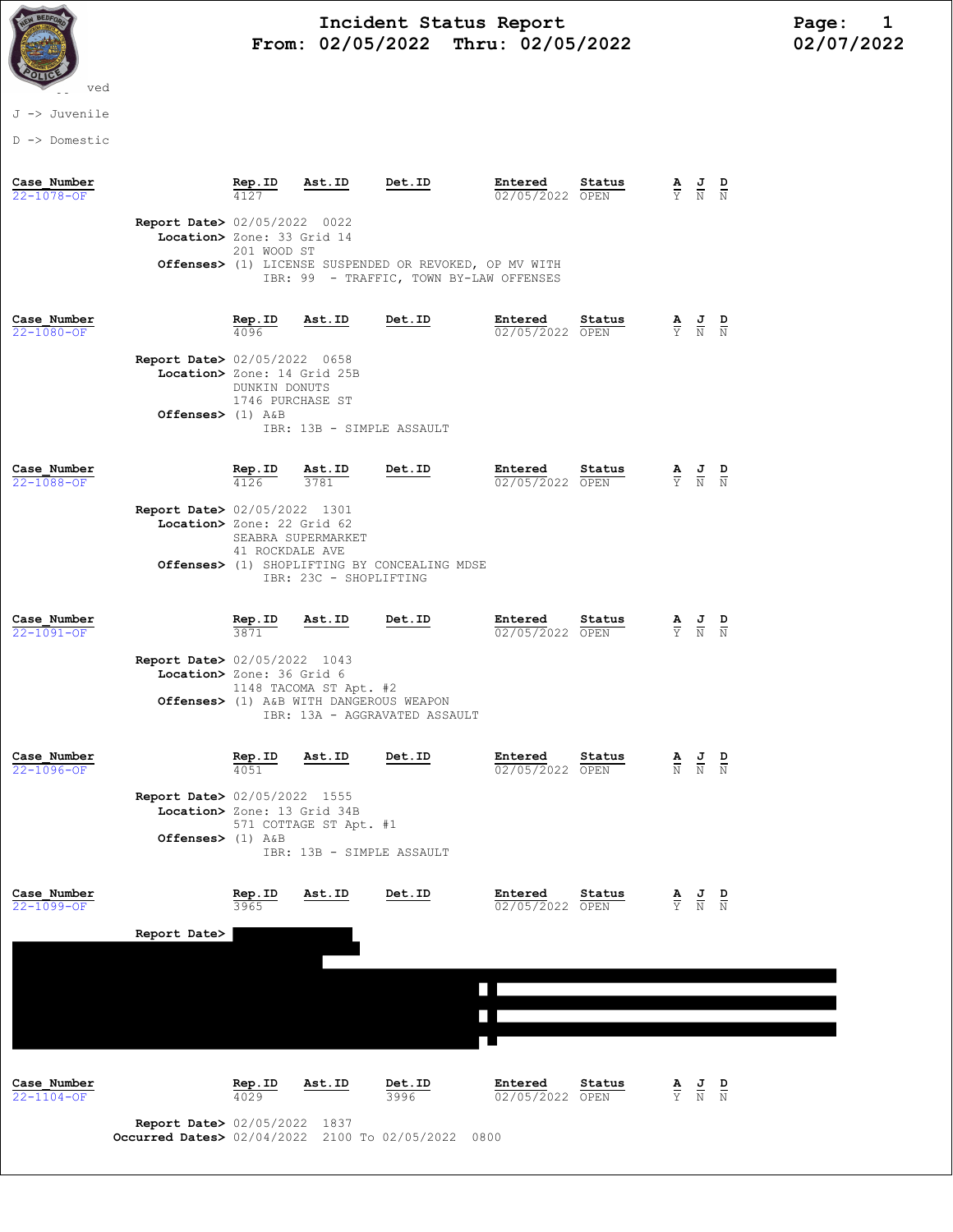

# Incident Status Report<br>02/05/2022 Thru: 02/05/2022 12/07/2022 From: 02/05/2022 Thru: 02/05/2022

## J -> Juvenile

D -> Domestic

| Case Number<br>$22 - 1078 - OF$ |                                                                                              | Rep.ID<br>4127                                      | Ast.ID                                                                      | Det.ID                                                                                            | Entered<br>02/05/2022 OPEN         | Status |                                 | $\frac{\mathbf{A}}{\mathbf{Y}}$ $\frac{\mathbf{J}}{\mathbf{N}}$ $\frac{\mathbf{D}}{\mathbf{N}}$ |               |
|---------------------------------|----------------------------------------------------------------------------------------------|-----------------------------------------------------|-----------------------------------------------------------------------------|---------------------------------------------------------------------------------------------------|------------------------------------|--------|---------------------------------|-------------------------------------------------------------------------------------------------|---------------|
|                                 | Report Date> 02/05/2022 0022<br>Location> Zone: 33 Grid 14                                   | 201 WOOD ST                                         |                                                                             | Offenses> (1) LICENSE SUSPENDED OR REVOKED, OP MV WITH<br>IBR: 99 - TRAFFIC, TOWN BY-LAW OFFENSES |                                    |        |                                 |                                                                                                 |               |
| Case Number<br>$22 - 1080 - OF$ | <b>Report Date&gt; 02/05/2022 0658</b><br>Location> Zone: 14 Grid 25B<br>Offenses> $(1)$ A&B | Rep.ID<br>4096<br>DUNKIN DONUTS<br>1746 PURCHASE ST | Ast.ID<br>IBR: 13B - SIMPLE ASSAULT                                         | Det.ID                                                                                            | Entered<br>02/05/2022 OPEN         | Status |                                 | $\frac{\mathbf{A}}{\mathbf{Y}}$ $\frac{\mathbf{J}}{\mathbf{N}}$ $\frac{\mathbf{D}}{\mathbf{N}}$ |               |
| Case Number<br>$22 - 1088 - OF$ | Report Date> 02/05/2022 1301                                                                 | Rep.ID<br>4126                                      | Ast.ID<br>3781                                                              | Det.ID                                                                                            | Entered<br>02/05/2022 OPEN         | Status |                                 | $\frac{\mathbf{A}}{\mathbf{Y}}$ $\frac{\mathbf{J}}{\mathbf{N}}$ $\frac{\mathbf{D}}{\mathbf{N}}$ |               |
|                                 | Location> Zone: 22 Grid 62                                                                   | 41 ROCKDALE AVE                                     | SEABRA SUPERMARKET<br>IBR: 23C - SHOPLIFTING                                | Offenses> (1) SHOPLIFTING BY CONCEALING MDSE                                                      |                                    |        |                                 |                                                                                                 |               |
| Case Number<br>$22 - 1091 - OF$ | Report Date> 02/05/2022 1043<br>Location> Zone: 36 Grid 6                                    | Rep.ID<br>3871                                      | Ast.ID<br>1148 TACOMA ST Apt. #2<br>Offenses> (1) A&B WITH DANGEROUS WEAPON | Det.ID<br>IBR: 13A - AGGRAVATED ASSAULT                                                           | Entered<br>02/05/2022 OPEN         | Status |                                 | $\frac{\mathbf{A}}{\mathbf{Y}}$ $\frac{\mathbf{J}}{\mathbf{N}}$ $\frac{\mathbf{D}}{\mathbf{N}}$ |               |
| Case Number<br>$22 - 1096 - OF$ | <b>Report Date&gt; 02/05/2022 1555</b><br>Location> Zone: 13 Grid 34B<br>Offenses> $(1)$ A&B | Rep.ID<br>4051                                      | Ast.ID<br>571 COTTAGE ST Apt. #1<br>IBR: 13B - SIMPLE ASSAULT               | Det.ID                                                                                            | Entered<br>02/05/2022 OPEN         | Status |                                 | $\frac{\mathbf{A}}{\mathbb{N}}$ $\frac{\mathbf{J}}{\mathbb{N}}$                                 | $\frac{D}{N}$ |
| Case Number<br>22-1099-OF       | Report Date>                                                                                 | Rep.ID<br>3965                                      | Ast.ID                                                                      | Det.ID                                                                                            | Entered<br>02/05/2022 OPEN         | Status | $\frac{\mathbf{A}}{\mathbf{Y}}$ | $\frac{J}{N}$                                                                                   | $\frac{D}{N}$ |
|                                 |                                                                                              |                                                     |                                                                             |                                                                                                   |                                    |        |                                 |                                                                                                 |               |
| Case Number<br>$22 - 1104 - OF$ | <b>Report Date&gt; 02/05/2022 1837</b><br>Occurred Dates> 02/04/2022 2100 To 02/05/2022      | Rep.ID<br>4029                                      | Ast.ID                                                                      | Det.ID<br>3996                                                                                    | Entered<br>02/05/2022 OPEN<br>0800 | Status | $\frac{\mathbf{A}}{\mathbf{Y}}$ | $\frac{J}{N}$                                                                                   | $\frac{D}{N}$ |